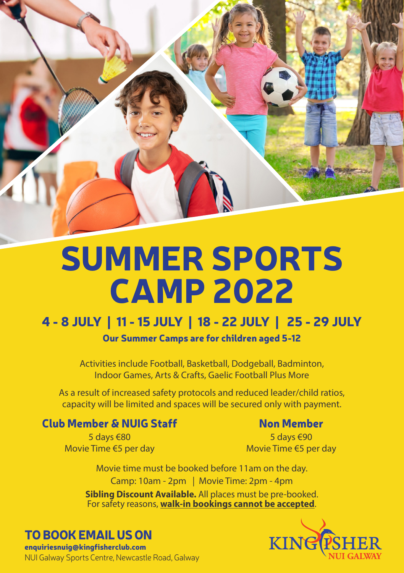

# SUMMER SPORTS CAMP 2022

# 4 - 8 JULY | 11 - 15 JULY | 18 - 22 JULY | 25 - 29 JULY

Our Summer Camps are for children aged 5-12

Activities include Football, Basketball, Dodgeball, Badminton, Indoor Games, Arts & Crafts, Gaelic Football Plus More

As a result of increased safety protocols and reduced leader/child ratios, capacity will be limited and spaces will be secured only with payment.

### Club Member & NUIG Staff

5 days €80 Movie Time €5 per day

#### Non Member

5 days €90 Movie Time €5 per day

**Sibling Discount Available.** All places must be pre-booked. For safety reasons, **walk-in bookings cannot be accepted**. Camp: 10am - 2pm | Movie Time: 2pm - 4pm Movie time must be booked before 11am on the day.

## TO BOOK EMAIL US ON

enquiriesnuig@kingfisherclub.com NUI Galway Sports Centre, Newcastle Road, Galway